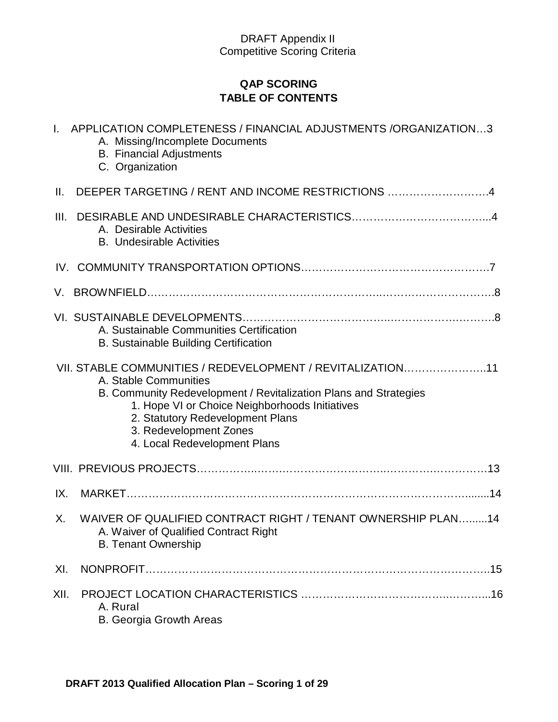# **QAP SCORING TABLE OF CONTENTS**

| $\mathbf{L}$ | APPLICATION COMPLETENESS / FINANCIAL ADJUSTMENTS /ORGANIZATION3<br>A. Missing/Incomplete Documents<br><b>B.</b> Financial Adjustments<br>C. Organization                                                                                                                                                |
|--------------|---------------------------------------------------------------------------------------------------------------------------------------------------------------------------------------------------------------------------------------------------------------------------------------------------------|
| Ш.           | DEEPER TARGETING / RENT AND INCOME RESTRICTIONS 4                                                                                                                                                                                                                                                       |
| III.         | A. Desirable Activities<br><b>B.</b> Undesirable Activities                                                                                                                                                                                                                                             |
|              |                                                                                                                                                                                                                                                                                                         |
| V.           |                                                                                                                                                                                                                                                                                                         |
|              | A. Sustainable Communities Certification<br><b>B. Sustainable Building Certification</b>                                                                                                                                                                                                                |
|              | VII. STABLE COMMUNITIES / REDEVELOPMENT / REVITALIZATION11<br>A. Stable Communities<br>B. Community Redevelopment / Revitalization Plans and Strategies<br>1. Hope VI or Choice Neighborhoods Initiatives<br>2. Statutory Redevelopment Plans<br>3. Redevelopment Zones<br>4. Local Redevelopment Plans |
|              |                                                                                                                                                                                                                                                                                                         |
| IX.          |                                                                                                                                                                                                                                                                                                         |
| Χ.           | WAIVER OF QUALIFIED CONTRACT RIGHT / TENANT OWNERSHIP PLAN14<br>A. Waiver of Qualified Contract Right<br><b>B. Tenant Ownership</b>                                                                                                                                                                     |
| XI.          |                                                                                                                                                                                                                                                                                                         |
| XII.         | A. Rural<br>B. Georgia Growth Areas                                                                                                                                                                                                                                                                     |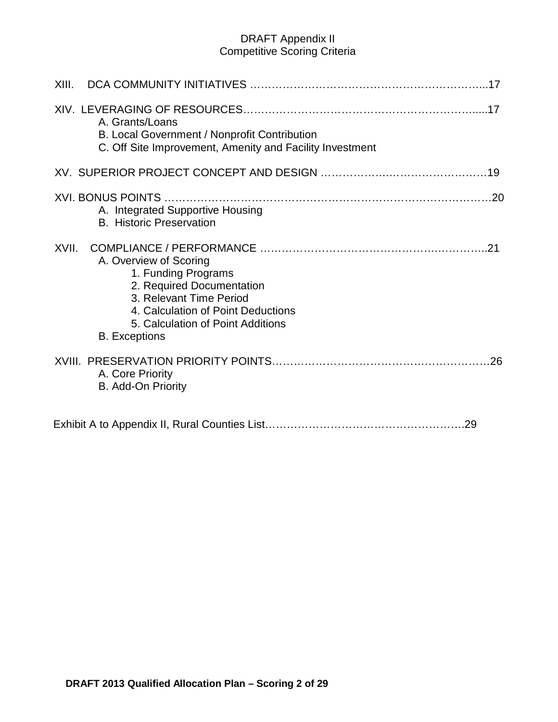| XIII.                                                                                                                                                                                                             |     |
|-------------------------------------------------------------------------------------------------------------------------------------------------------------------------------------------------------------------|-----|
| A. Grants/Loans<br>B. Local Government / Nonprofit Contribution<br>C. Off Site Improvement, Amenity and Facility Investment                                                                                       |     |
|                                                                                                                                                                                                                   |     |
| A. Integrated Supportive Housing<br><b>B.</b> Historic Preservation                                                                                                                                               |     |
| XVII.<br>A. Overview of Scoring<br>1. Funding Programs<br>2. Required Documentation<br>3. Relevant Time Period<br>4. Calculation of Point Deductions<br>5. Calculation of Point Additions<br><b>B.</b> Exceptions | .21 |
| A. Core Priority<br>B. Add-On Priority                                                                                                                                                                            |     |
|                                                                                                                                                                                                                   |     |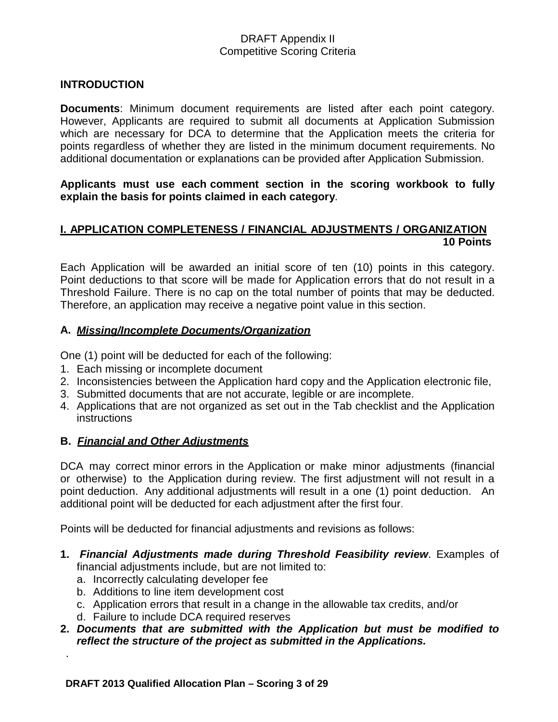#### **INTRODUCTION**

**Documents**: Minimum document requirements are listed after each point category. However, Applicants are required to submit all documents at Application Submission which are necessary for DCA to determine that the Application meets the criteria for points regardless of whether they are listed in the minimum document requirements. No additional documentation or explanations can be provided after Application Submission.

**Applicants must use each comment section in the scoring workbook to fully explain the basis for points claimed in each category**.

### **I. APPLICATION COMPLETENESS / FINANCIAL ADJUSTMENTS / ORGANIZATION 10 Points**

Each Application will be awarded an initial score of ten (10) points in this category. Point deductions to that score will be made for Application errors that do not result in a Threshold Failure. There is no cap on the total number of points that may be deducted. Therefore, an application may receive a negative point value in this section.

#### **A.** *Missing/Incomplete Documents/Organization*

One (1) point will be deducted for each of the following:

- 1. Each missing or incomplete document
- 2. Inconsistencies between the Application hard copy and the Application electronic file,
- 3. Submitted documents that are not accurate, legible or are incomplete.
- 4. Applications that are not organized as set out in the Tab checklist and the Application **instructions**

#### **B.** *Financial and Other Adjustments*

DCA may correct minor errors in the Application or make minor adjustments (financial or otherwise) to the Application during review. The first adjustment will not result in a point deduction. Any additional adjustments will result in a one (1) point deduction. An additional point will be deducted for each adjustment after the first four.

Points will be deducted for financial adjustments and revisions as follows:

- **1.** *Financial Adjustments made during Threshold Feasibility review*. Examples of financial adjustments include, but are not limited to:
	- a. Incorrectly calculating developer fee

.

- b. Additions to line item development cost
- c. Application errors that result in a change in the allowable tax credits, and/or
- d. Failure to include DCA required reserves

#### **2.** *Documents that are submitted with the Application but must be modified to reflect the structure of the project as submitted in the Applications.*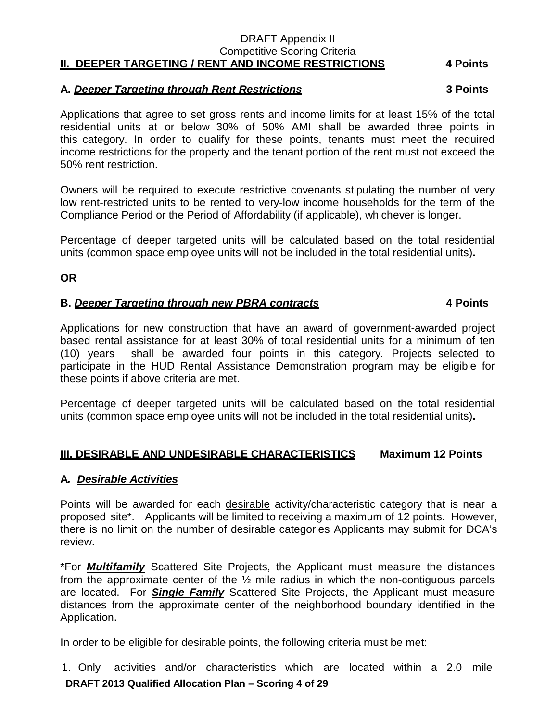#### DRAFT Appendix II Competitive Scoring Criteria **II. DEEPER TARGETING / RENT AND INCOME RESTRICTIONS 4 Points**

# **A.** *Deeper Targeting through Rent Restrictions* **3 Points**

Applications that agree to set gross rents and income limits for at least 15% of the total residential units at or below 30% of 50% AMI shall be awarded three points in this category. In order to qualify for these points, tenants must meet the required income restrictions for the property and the tenant portion of the rent must not exceed the 50% rent restriction.

Owners will be required to execute restrictive covenants stipulating the number of very low rent-restricted units to be rented to very-low income households for the term of the Compliance Period or the Period of Affordability (if applicable), whichever is longer.

Percentage of deeper targeted units will be calculated based on the total residential units (common space employee units will not be included in the total residential units)**.**

**OR**

### **B.** *Deeper Targeting through new PBRA contracts* **4 Points**

Applications for new construction that have an award of government-awarded project based rental assistance for at least 30% of total residential units for a minimum of ten (10) years shall be awarded four points in this category. Projects selected to participate in the HUD Rental Assistance Demonstration program may be eligible for these points if above criteria are met.

Percentage of deeper targeted units will be calculated based on the total residential units (common space employee units will not be included in the total residential units)**.**

#### **III. DESIRABLE AND UNDESIRABLE CHARACTERISTICS Maximum 12 Points**

#### **A***. Desirable Activities*

Points will be awarded for each desirable activity/characteristic category that is near a proposed site\*. Applicants will be limited to receiving a maximum of 12 points. However, there is no limit on the number of desirable categories Applicants may submit for DCA's review.

\*For *Multifamily* Scattered Site Projects, the Applicant must measure the distances from the approximate center of the ½ mile radius in which the non-contiguous parcels are located. For *Single Family* Scattered Site Projects, the Applicant must measure distances from the approximate center of the neighborhood boundary identified in the Application.

In order to be eligible for desirable points, the following criteria must be met:

**DRAFT 2013 Qualified Allocation Plan – Scoring 4 of 29** 1. Only activities and/or characteristics which are located within a 2.0 mile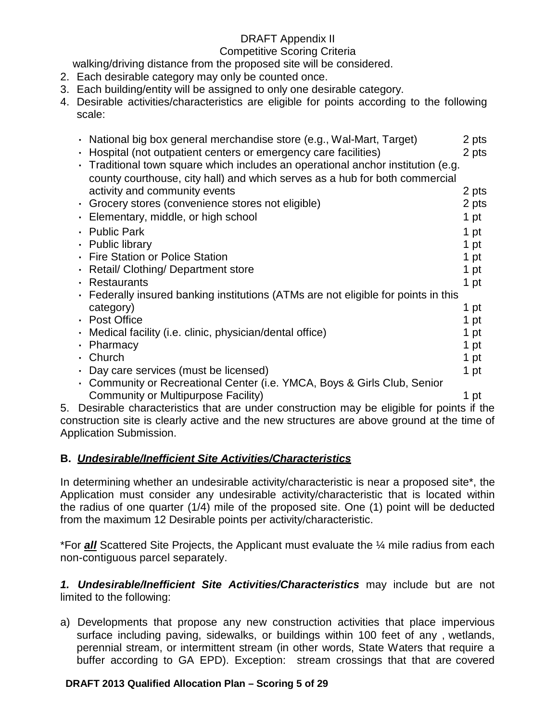### Competitive Scoring Criteria

walking/driving distance from the proposed site will be considered.

- 2. Each desirable category may only be counted once.
- 3. Each building/entity will be assigned to only one desirable category.
- 4. Desirable activities/characteristics are eligible for points according to the following scale:

| • National big box general merchandise store (e.g., Wal-Mart, Target)                  | 2 pts |
|----------------------------------------------------------------------------------------|-------|
| Hospital (not outpatient centers or emergency care facilities)                         | 2 pts |
| Traditional town square which includes an operational anchor institution (e.g.         |       |
| county courthouse, city hall) and which serves as a hub for both commercial            |       |
| activity and community events                                                          | 2 pts |
| • Grocery stores (convenience stores not eligible)                                     | 2 pts |
| Elementary, middle, or high school                                                     | 1 pt  |
| <b>Public Park</b>                                                                     | 1 pt  |
| • Public library                                                                       | 1 pt  |
| • Fire Station or Police Station                                                       | 1 pt  |
| Retail/ Clothing/ Department store                                                     | 1 pt  |
| <b>Restaurants</b>                                                                     | 1 pt  |
| • Federally insured banking institutions (ATMs are not eligible for points in this     |       |
| category)                                                                              | 1 pt  |
| • Post Office                                                                          | 1 pt  |
| • Medical facility (i.e. clinic, physician/dental office)                              | 1 pt  |
| Pharmacy                                                                               | 1 pt  |
| Church                                                                                 | 1 pt  |
| • Day care services (must be licensed)                                                 | 1 pt  |
| • Community or Recreational Center (i.e. YMCA, Boys & Girls Club, Senior               |       |
| Community or Multipurpose Facility)                                                    | 1 pt  |
| Desirable characteristics that are under construction may be eligible for points if th |       |

5. Desirable characteristics that are under construction may be eligible for points if the construction site is clearly active and the new structures are above ground at the time of Application Submission.

# **B.** *Undesirable/Inefficient Site Activities/Characteristics*

In determining whether an undesirable activity/characteristic is near a proposed site\*, the Application must consider any undesirable activity/characteristic that is located within the radius of one quarter (1/4) mile of the proposed site. One (1) point will be deducted from the maximum 12 Desirable points per activity/characteristic.

\*For *all* Scattered Site Projects, the Applicant must evaluate the ¼ mile radius from each non-contiguous parcel separately.

*1. Undesirable/Inefficient Site Activities/Characteristics* may include but are not limited to the following:

a) Developments that propose any new construction activities that place impervious surface including paving, sidewalks, or buildings within 100 feet of any , wetlands, perennial stream, or intermittent stream (in other words, State Waters that require a buffer according to GA EPD). Exception: stream crossings that that are covered

## **DRAFT 2013 Qualified Allocation Plan – Scoring 5 of 29**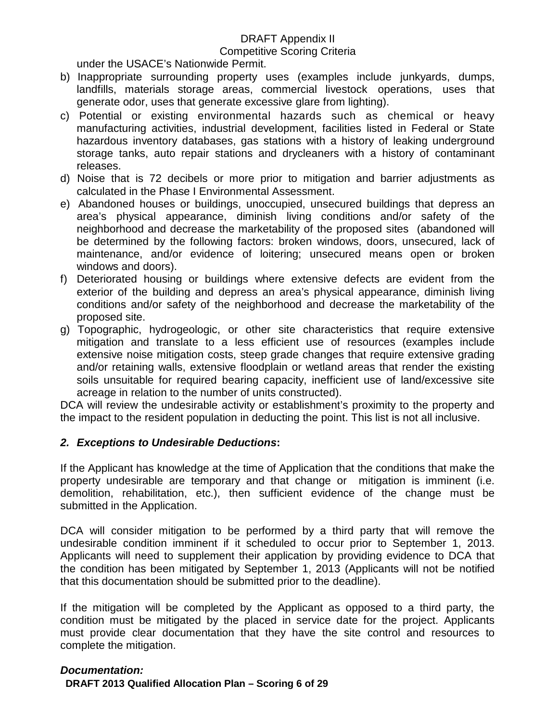#### Competitive Scoring Criteria

under the USACE's Nationwide Permit.

- b) Inappropriate surrounding property uses (examples include junkyards, dumps, landfills, materials storage areas, commercial livestock operations, uses that generate odor, uses that generate excessive glare from lighting).
- c) Potential or existing environmental hazards such as chemical or heavy manufacturing activities, industrial development, facilities listed in Federal or State hazardous inventory databases, gas stations with a history of leaking underground storage tanks, auto repair stations and drycleaners with a history of contaminant releases.
- d) Noise that is 72 decibels or more prior to mitigation and barrier adjustments as calculated in the Phase I Environmental Assessment.
- e) Abandoned houses or buildings, unoccupied, unsecured buildings that depress an area's physical appearance, diminish living conditions and/or safety of the neighborhood and decrease the marketability of the proposed sites (abandoned will be determined by the following factors: broken windows, doors, unsecured, lack of maintenance, and/or evidence of loitering; unsecured means open or broken windows and doors).
- f) Deteriorated housing or buildings where extensive defects are evident from the exterior of the building and depress an area's physical appearance, diminish living conditions and/or safety of the neighborhood and decrease the marketability of the proposed site.
- g) Topographic, hydrogeologic, or other site characteristics that require extensive mitigation and translate to a less efficient use of resources (examples include extensive noise mitigation costs, steep grade changes that require extensive grading and/or retaining walls, extensive floodplain or wetland areas that render the existing soils unsuitable for required bearing capacity, inefficient use of land/excessive site acreage in relation to the number of units constructed).

DCA will review the undesirable activity or establishment's proximity to the property and the impact to the resident population in deducting the point. This list is not all inclusive.

## *2. Exceptions to Undesirable Deductions***:**

If the Applicant has knowledge at the time of Application that the conditions that make the property undesirable are temporary and that change or mitigation is imminent (i.e. demolition, rehabilitation, etc.), then sufficient evidence of the change must be submitted in the Application.

DCA will consider mitigation to be performed by a third party that will remove the undesirable condition imminent if it scheduled to occur prior to September 1, 2013. Applicants will need to supplement their application by providing evidence to DCA that the condition has been mitigated by September 1, 2013 (Applicants will not be notified that this documentation should be submitted prior to the deadline).

If the mitigation will be completed by the Applicant as opposed to a third party, the condition must be mitigated by the placed in service date for the project. Applicants must provide clear documentation that they have the site control and resources to complete the mitigation.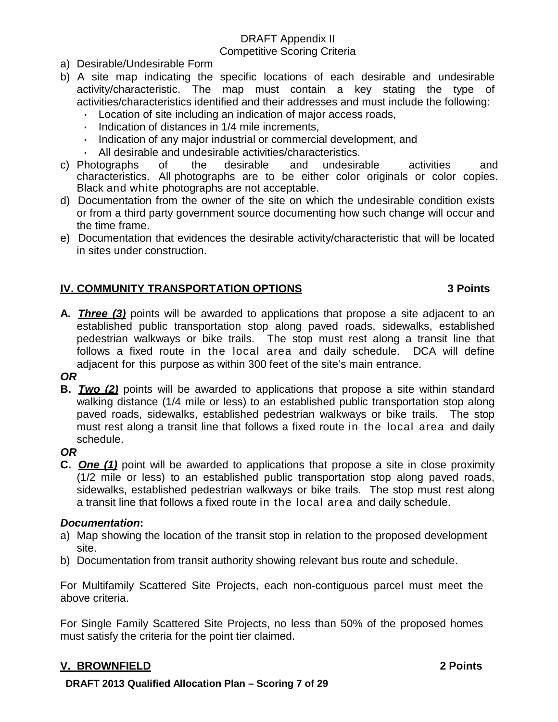- a) Desirable/Undesirable Form
- b) A site map indicating the specific locations of each desirable and undesirable activity/characteristic. The map must contain a key stating the type of activities/characteristics identified and their addresses and must include the following:
	- **·** Location of site including an indication of major access roads,
	- **·** Indication of distances in 1/4 mile increments,
	- **·** Indication of any major industrial or commercial development, and
	- **·** All desirable and undesirable activities/characteristics.
- c) Photographs of the desirable and undesirable activities and characteristics. All photographs are to be either color originals or color copies. Black and white photographs are not acceptable.
- d) Documentation from the owner of the site on which the undesirable condition exists or from a third party government source documenting how such change will occur and the time frame.
- e) Documentation that evidences the desirable activity/characteristic that will be located in sites under construction.

## **IV. COMMUNITY TRANSPORTATION OPTIONS 3 Points**

- **A.** *Three (3)* points will be awarded to applications that propose a site adjacent to an established public transportation stop along paved roads, sidewalks, established pedestrian walkways or bike trails. The stop must rest along a transit line that follows a fixed route in the local area and daily schedule. DCA will define adjacent for this purpose as within 300 feet of the site's main entrance.
- *OR*
- **B.** *Two (2)* points will be awarded to applications that propose a site within standard walking distance (1/4 mile or less) to an established public transportation stop along paved roads, sidewalks, established pedestrian walkways or bike trails. The stop must rest along a transit line that follows a fixed route in the local area and daily schedule.

#### *OR*

**C.** *One (1)* point will be awarded to applications that propose a site in close proximity (1/2 mile or less) to an established public transportation stop along paved roads, sidewalks, established pedestrian walkways or bike trails. The stop must rest along a transit line that follows a fixed route in the local area and daily schedule.

#### *Documentation***:**

- a) Map showing the location of the transit stop in relation to the proposed development site.
- b) Documentation from transit authority showing relevant bus route and schedule.

For Multifamily Scattered Site Projects, each non-contiguous parcel must meet the above criteria.

For Single Family Scattered Site Projects, no less than 50% of the proposed homes must satisfy the criteria for the point tier claimed.

# **V. BROWNFIELD 2 Points**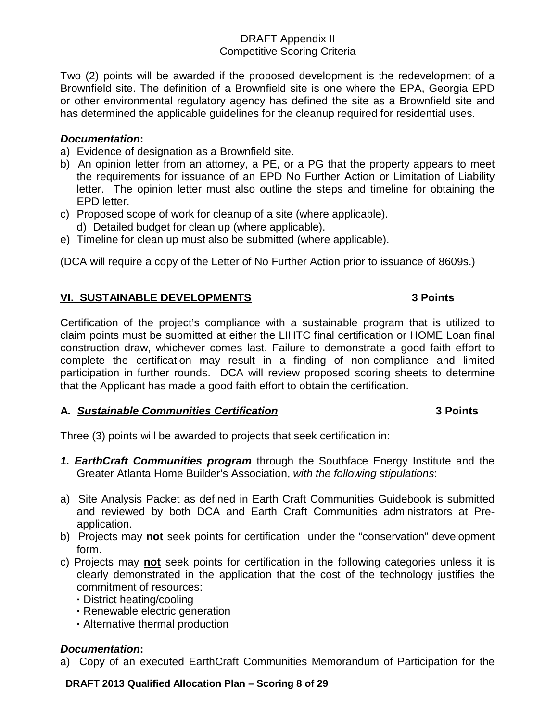Two (2) points will be awarded if the proposed development is the redevelopment of a Brownfield site. The definition of a Brownfield site is one where the EPA, Georgia EPD or other environmental regulatory agency has defined the site as a Brownfield site and has determined the applicable guidelines for the cleanup required for residential uses.

#### *Documentation***:**

- a) Evidence of designation as a Brownfield site.
- b) An opinion letter from an attorney, a PE, or a PG that the property appears to meet the requirements for issuance of an EPD No Further Action or Limitation of Liability letter. The opinion letter must also outline the steps and timeline for obtaining the EPD letter.
- c) Proposed scope of work for cleanup of a site (where applicable). d) Detailed budget for clean up (where applicable).
- e) Timeline for clean up must also be submitted (where applicable).

(DCA will require a copy of the Letter of No Further Action prior to issuance of 8609s.)

### **VI. SUSTAINABLE DEVELOPMENTS 3 Points**

#### Certification of the project's compliance with a sustainable program that is utilized to claim points must be submitted at either the LIHTC final certification or HOME Loan final construction draw, whichever comes last. Failure to demonstrate a good faith effort to complete the certification may result in a finding of non-compliance and limited participation in further rounds. DCA will review proposed scoring sheets to determine that the Applicant has made a good faith effort to obtain the certification.

#### **A***. Sustainable Communities Certification* **3 Points**

Three (3) points will be awarded to projects that seek certification in:

- *1. EarthCraft Communities program* through the Southface Energy Institute and the Greater Atlanta Home Builder's Association, *with the following stipulations*:
- a) Site Analysis Packet as defined in Earth Craft Communities Guidebook is submitted and reviewed by both DCA and Earth Craft Communities administrators at Preapplication.
- b) Projects may **not** seek points for certification under the "conservation" development form.
- c) Projects may **not** seek points for certification in the following categories unless it is clearly demonstrated in the application that the cost of the technology justifies the commitment of resources:
	- **·** District heating/cooling
	- **·** Renewable electric generation
	- **·** Alternative thermal production

#### *Documentation***:**

a) Copy of an executed EarthCraft Communities Memorandum of Participation for the

**DRAFT 2013 Qualified Allocation Plan – Scoring 8 of 29**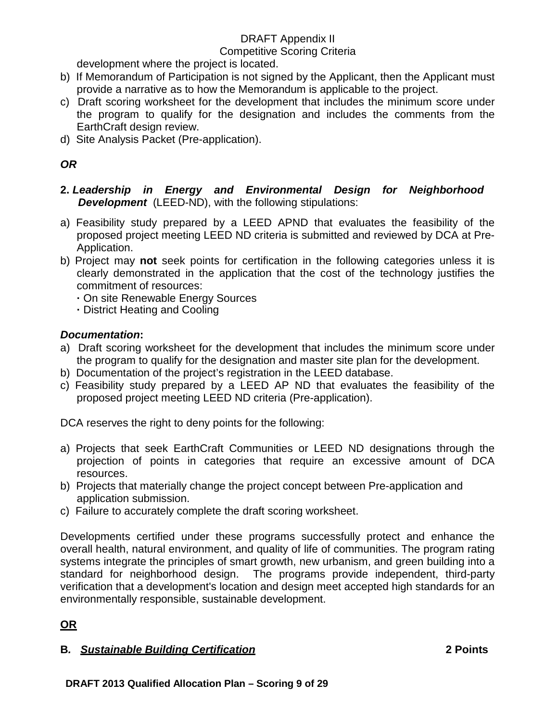#### Competitive Scoring Criteria

development where the project is located.

- b) If Memorandum of Participation is not signed by the Applicant, then the Applicant must provide a narrative as to how the Memorandum is applicable to the project.
- c) Draft scoring worksheet for the development that includes the minimum score under the program to qualify for the designation and includes the comments from the EarthCraft design review.
- d) Site Analysis Packet (Pre-application).

# *OR*

- **2.** *Leadership in Energy and Environmental Design for Neighborhood Development* (LEED-ND), with the following stipulations:
- a) Feasibility study prepared by a LEED APND that evaluates the feasibility of the proposed project meeting LEED ND criteria is submitted and reviewed by DCA at Pre-Application.
- b) Project may **not** seek points for certification in the following categories unless it is clearly demonstrated in the application that the cost of the technology justifies the commitment of resources:
	- **·** On site Renewable Energy Sources
	- **·** District Heating and Cooling

# *Documentation***:**

- a) Draft scoring worksheet for the development that includes the minimum score under the program to qualify for the designation and master site plan for the development.
- b) Documentation of the project's registration in the LEED database.
- c) Feasibility study prepared by a LEED AP ND that evaluates the feasibility of the proposed project meeting LEED ND criteria (Pre-application).

DCA reserves the right to deny points for the following:

- a) Projects that seek EarthCraft Communities or LEED ND designations through the projection of points in categories that require an excessive amount of DCA resources.
- b) Projects that materially change the project concept between Pre-application and application submission.
- c) Failure to accurately complete the draft scoring worksheet.

Developments certified under these programs successfully protect and enhance the overall health, natural environment, and quality of life of communities. The program rating systems integrate the principles of smart growth, new urbanism, and green building into a standard for neighborhood design. The programs provide independent, third-party verification that a development's location and design meet accepted high standards for an environmentally responsible, sustainable development.

# **OR**

# **B***. Sustainable Building Certification* **2 Points**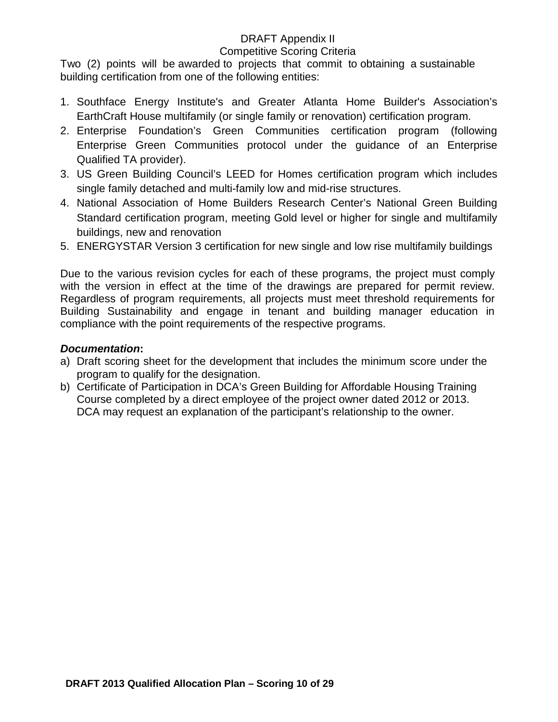#### Competitive Scoring Criteria

Two (2) points will be awarded to projects that commit to obtaining a sustainable building certification from one of the following entities:

- 1. Southface Energy Institute's and Greater Atlanta Home Builder's Association's EarthCraft House multifamily (or single family or renovation) certification program.
- 2. Enterprise Foundation's Green Communities certification program (following Enterprise Green Communities protocol under the guidance of an Enterprise Qualified TA provider).
- 3. US Green Building Council's LEED for Homes certification program which includes single family detached and multi-family low and mid-rise structures.
- 4. National Association of Home Builders Research Center's National Green Building Standard certification program, meeting Gold level or higher for single and multifamily buildings, new and renovation
- 5. ENERGYSTAR Version 3 certification for new single and low rise multifamily buildings

Due to the various revision cycles for each of these programs, the project must comply with the version in effect at the time of the drawings are prepared for permit review. Regardless of program requirements, all projects must meet threshold requirements for Building Sustainability and engage in tenant and building manager education in compliance with the point requirements of the respective programs.

### *Documentation***:**

- a) Draft scoring sheet for the development that includes the minimum score under the program to qualify for the designation.
- b) Certificate of Participation in DCA's Green Building for Affordable Housing Training Course completed by a direct employee of the project owner dated 2012 or 2013. DCA may request an explanation of the participant's relationship to the owner.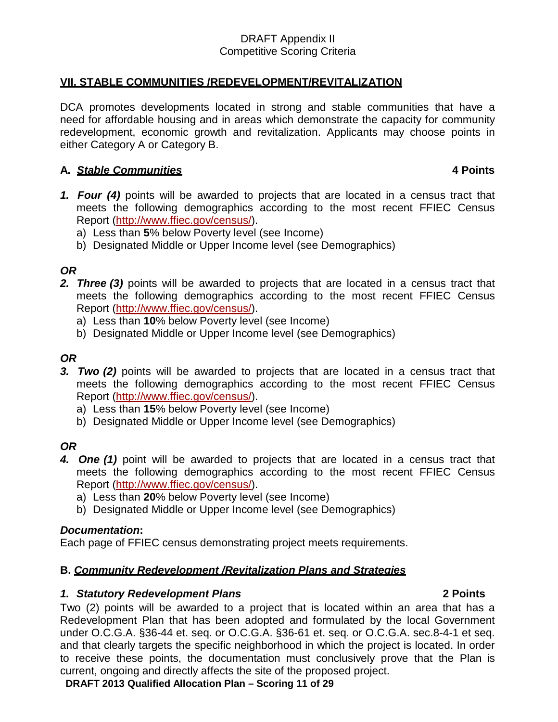### **VII. STABLE COMMUNITIES /REDEVELOPMENT/REVITALIZATION**

DCA promotes developments located in strong and stable communities that have a need for affordable housing and in areas which demonstrate the capacity for community redevelopment, economic growth and revitalization. Applicants may choose points in either Category A or Category B.

### **A.** *Stable Communities* **4 Points**

- *1. Four (4)* points will be awarded to projects that are located in a census tract that meets the following demographics according to the most recent FFIEC Census Report [\(http://www.ffiec.gov/census/\)](http://www.ffiec.gov/census/).
	- a) Less than **5**% below Poverty level (see Income)
	- b) Designated Middle or Upper Income level (see Demographics)

## *OR*

- *2. Three (3)* points will be awarded to projects that are located in a census tract that meets the following demographics according to the most recent FFIEC Census Report [\(http://www.ffiec.gov/census/\)](http://www.ffiec.gov/census/).
	- a) Less than **10**% below Poverty level (see Income)
	- b) Designated Middle or Upper Income level (see Demographics)

## *OR*

- *3. Two (2)* points will be awarded to projects that are located in a census tract that meets the following demographics according to the most recent FFIEC Census Report [\(http://www.ffiec.gov/census/\)](http://www.ffiec.gov/census/).
	- a) Less than **15**% below Poverty level (see Income)
	- b) Designated Middle or Upper Income level (see Demographics)

# *OR*

- *4. One (1)* point will be awarded to projects that are located in a census tract that meets the following demographics according to the most recent FFIEC Census Report [\(http://www.ffiec.gov/census/\)](http://www.ffiec.gov/census/).
	- a) Less than **20**% below Poverty level (see Income)
	- b) Designated Middle or Upper Income level (see Demographics)

#### *Documentation***:**

Each page of FFIEC census demonstrating project meets requirements.

## **B.** *Community Redevelopment /Revitalization Plans and Strategies*

#### *1. Statutory Redevelopment Plans* **2 Points**

Two (2) points will be awarded to a project that is located within an area that has a Redevelopment Plan that has been adopted and formulated by the local Government under O.C.G.A. §36-44 et. seq. or O.C.G.A. §36-61 et. seq. or O.C.G.A. sec.8-4-1 et seq. and that clearly targets the specific neighborhood in which the project is located. In order to receive these points, the documentation must conclusively prove that the Plan is current, ongoing and directly affects the site of the proposed project.

**DRAFT 2013 Qualified Allocation Plan – Scoring 11 of 29**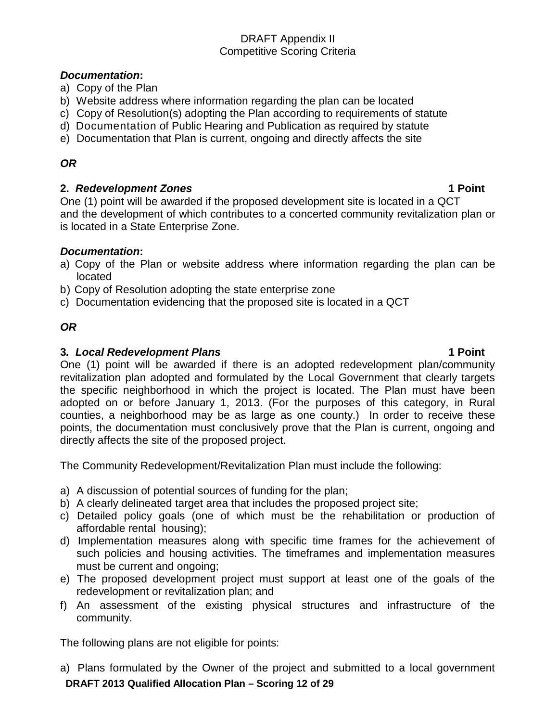### *Documentation***:**

- a) Copy of the Plan
- b) Website address where information regarding the plan can be located
- c) Copy of Resolution(s) adopting the Plan according to requirements of statute
- d) Documentation of Public Hearing and Publication as required by statute
- e) Documentation that Plan is current, ongoing and directly affects the site

# *OR*

### **2.** *Redevelopment Zones* **1 Point**

One (1) point will be awarded if the proposed development site is located in a QCT and the development of which contributes to a concerted community revitalization plan or is located in a State Enterprise Zone.

## *Documentation***:**

- a) Copy of the Plan or website address where information regarding the plan can be located
- b) Copy of Resolution adopting the state enterprise zone
- c) Documentation evidencing that the proposed site is located in a QCT

## *OR*

### **3***. Local Redevelopment Plans* **1 Point**

One (1) point will be awarded if there is an adopted redevelopment plan/community revitalization plan adopted and formulated by the Local Government that clearly targets the specific neighborhood in which the project is located. The Plan must have been adopted on or before January 1, 2013. (For the purposes of this category, in Rural counties, a neighborhood may be as large as one county.) In order to receive these points, the documentation must conclusively prove that the Plan is current, ongoing and directly affects the site of the proposed project.

The Community Redevelopment/Revitalization Plan must include the following:

- a) A discussion of potential sources of funding for the plan;
- b) A clearly delineated target area that includes the proposed project site;
- c) Detailed policy goals (one of which must be the rehabilitation or production of affordable rental housing);
- d) Implementation measures along with specific time frames for the achievement of such policies and housing activities. The timeframes and implementation measures must be current and ongoing;
- e) The proposed development project must support at least one of the goals of the redevelopment or revitalization plan; and
- f) An assessment of the existing physical structures and infrastructure of the community.

The following plans are not eligible for points:

**DRAFT 2013 Qualified Allocation Plan – Scoring 12 of 29** a) Plans formulated by the Owner of the project and submitted to a local government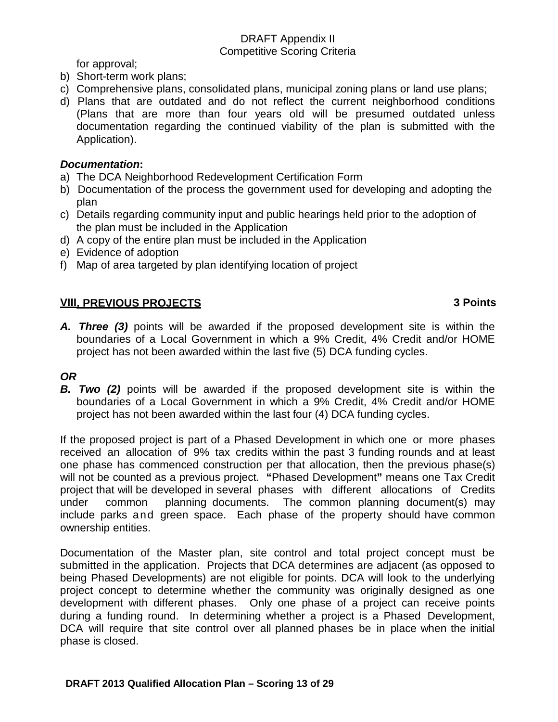for approval;

- b) Short-term work plans;
- c) Comprehensive plans, consolidated plans, municipal zoning plans or land use plans;
- d) Plans that are outdated and do not reflect the current neighborhood conditions (Plans that are more than four years old will be presumed outdated unless documentation regarding the continued viability of the plan is submitted with the Application).

## *Documentation***:**

- a) The DCA Neighborhood Redevelopment Certification Form
- b) Documentation of the process the government used for developing and adopting the plan
- c) Details regarding community input and public hearings held prior to the adoption of the plan must be included in the Application
- d) A copy of the entire plan must be included in the Application
- e) Evidence of adoption
- f) Map of area targeted by plan identifying location of project

## **VIII. PREVIOUS PROJECTS 3 Points**

*A. Three (3)* points will be awarded if the proposed development site is within the boundaries of a Local Government in which a 9% Credit, 4% Credit and/or HOME project has not been awarded within the last five (5) DCA funding cycles.

# *OR*

**B. Two** (2) points will be awarded if the proposed development site is within the boundaries of a Local Government in which a 9% Credit, 4% Credit and/or HOME project has not been awarded within the last four (4) DCA funding cycles.

If the proposed project is part of a Phased Development in which one or more phases received an allocation of 9% tax credits within the past 3 funding rounds and at least one phase has commenced construction per that allocation, then the previous phase(s) will not be counted as a previous project. **"**Phased Development**"** means one Tax Credit project that will be developed in several phases with different allocations of Credits under common planning documents. The common planning document(s) may include parks and green space. Each phase of the property should have common ownership entities.

Documentation of the Master plan, site control and total project concept must be submitted in the application. Projects that DCA determines are adjacent (as opposed to being Phased Developments) are not eligible for points. DCA will look to the underlying project concept to determine whether the community was originally designed as one development with different phases. Only one phase of a project can receive points during a funding round. In determining whether a project is a Phased Development, DCA will require that site control over all planned phases be in place when the initial phase is closed.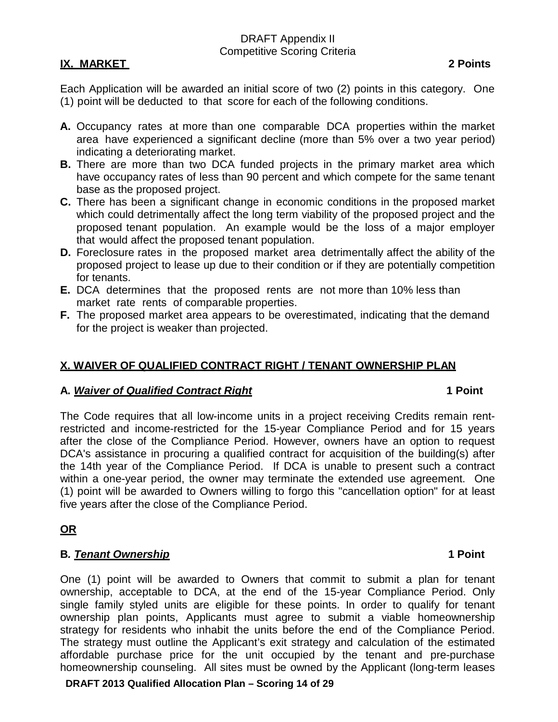### **IX. MARKET 2 Points**

Each Application will be awarded an initial score of two (2) points in this category. One (1) point will be deducted to that score for each of the following conditions.

- **A.** Occupancy rates at more than one comparable DCA properties within the market area have experienced a significant decline (more than 5% over a two year period) indicating a deteriorating market.
- **B.** There are more than two DCA funded projects in the primary market area which have occupancy rates of less than 90 percent and which compete for the same tenant base as the proposed project.
- **C.** There has been a significant change in economic conditions in the proposed market which could detrimentally affect the long term viability of the proposed project and the proposed tenant population. An example would be the loss of a major employer that would affect the proposed tenant population.
- **D.** Foreclosure rates in the proposed market area detrimentally affect the ability of the proposed project to lease up due to their condition or if they are potentially competition for tenants.
- **E.** DCA determines that the proposed rents are not more than 10% less than market rate rents of comparable properties.
- **F.** The proposed market area appears to be overestimated, indicating that the demand for the project is weaker than projected.

### **X. WAIVER OF QUALIFIED CONTRACT RIGHT / TENANT OWNERSHIP PLAN**

#### **A.** *Waiver of Qualified Contract Right* **1 Point**

The Code requires that all low-income units in a project receiving Credits remain rentrestricted and income-restricted for the 15-year Compliance Period and for 15 years after the close of the Compliance Period. However, owners have an option to request DCA's assistance in procuring a qualified contract for acquisition of the building(s) after the 14th year of the Compliance Period. If DCA is unable to present such a contract within a one-year period, the owner may terminate the extended use agreement. One (1) point will be awarded to Owners willing to forgo this "cancellation option" for at least five years after the close of the Compliance Period.

## **OR**

#### **B***. Tenant Ownership* **1 Point**

One (1) point will be awarded to Owners that commit to submit a plan for tenant ownership, acceptable to DCA, at the end of the 15-year Compliance Period. Only single family styled units are eligible for these points. In order to qualify for tenant ownership plan points, Applicants must agree to submit a viable homeownership strategy for residents who inhabit the units before the end of the Compliance Period. The strategy must outline the Applicant's exit strategy and calculation of the estimated affordable purchase price for the unit occupied by the tenant and pre-purchase homeownership counseling. All sites must be owned by the Applicant (long-term leases

**DRAFT 2013 Qualified Allocation Plan – Scoring 14 of 29**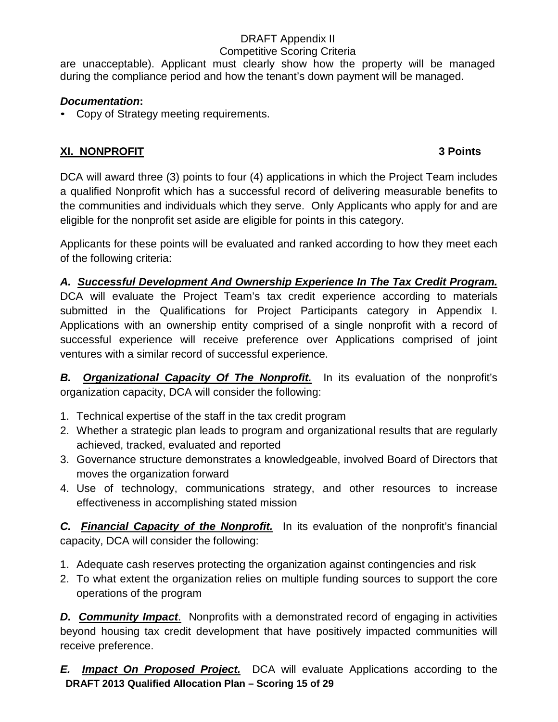## Competitive Scoring Criteria

are unacceptable). Applicant must clearly show how the property will be managed during the compliance period and how the tenant's down payment will be managed.

# *Documentation***:**

• Copy of Strategy meeting requirements.

# **XI. NONPROFIT 3 Points**

DCA will award three (3) points to four (4) applications in which the Project Team includes a qualified Nonprofit which has a successful record of delivering measurable benefits to the communities and individuals which they serve. Only Applicants who apply for and are eligible for the nonprofit set aside are eligible for points in this category.

Applicants for these points will be evaluated and ranked according to how they meet each of the following criteria:

# *A. Successful Development And Ownership Experience In The Tax Credit Program.*

DCA will evaluate the Project Team's tax credit experience according to materials submitted in the Qualifications for Project Participants category in Appendix I. Applications with an ownership entity comprised of a single nonprofit with a record of successful experience will receive preference over Applications comprised of joint ventures with a similar record of successful experience.

*B. Organizational Capacity Of The Nonprofit.* In its evaluation of the nonprofit's organization capacity, DCA will consider the following:

- 1. Technical expertise of the staff in the tax credit program
- 2. Whether a strategic plan leads to program and organizational results that are regularly achieved, tracked, evaluated and reported
- 3. Governance structure demonstrates a knowledgeable, involved Board of Directors that moves the organization forward
- 4. Use of technology, communications strategy, and other resources to increase effectiveness in accomplishing stated mission

*C. Financial Capacity of the Nonprofit.* In its evaluation of the nonprofit's financial capacity, DCA will consider the following:

- 1. Adequate cash reserves protecting the organization against contingencies and risk
- 2. To what extent the organization relies on multiple funding sources to support the core operations of the program

*D. Community Impact*. Nonprofits with a demonstrated record of engaging in activities beyond housing tax credit development that have positively impacted communities will receive preference.

**DRAFT 2013 Qualified Allocation Plan – Scoring 15 of 29** *E. Impact On Proposed Project.* DCA will evaluate Applications according to the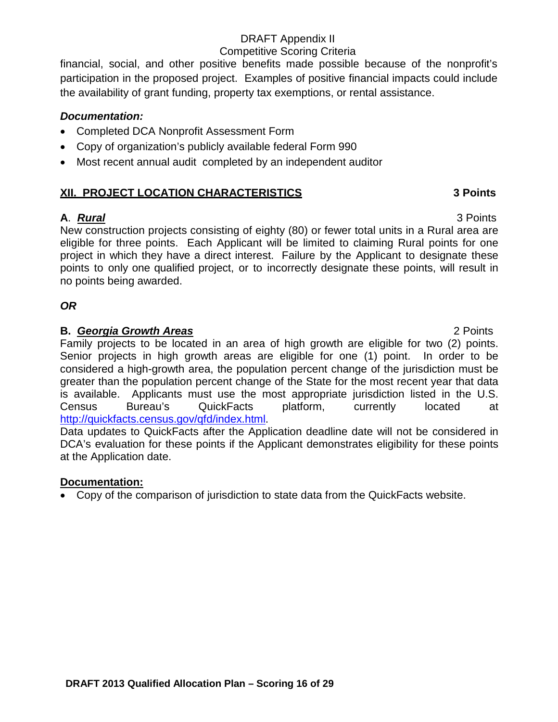### Competitive Scoring Criteria

financial, social, and other positive benefits made possible because of the nonprofit's participation in the proposed project. Examples of positive financial impacts could include the availability of grant funding, property tax exemptions, or rental assistance.

## *Documentation:*

- Completed DCA Nonprofit Assessment Form
- Copy of organization's publicly available federal Form 990
- Most recent annual audit completed by an independent auditor

## **XII. PROJECT LOCATION CHARACTERISTICS 3 Points**

## **A**. *Rural* 3 Points

New construction projects consisting of eighty (80) or fewer total units in a Rural area are eligible for three points. Each Applicant will be limited to claiming Rural points for one project in which they have a direct interest. Failure by the Applicant to designate these points to only one qualified project, or to incorrectly designate these points, will result in no points being awarded.

# *OR*

## **B.** *Georgia Growth Areas* 2 Points

Family projects to be located in an area of high growth are eligible for two (2) points. Senior projects in high growth areas are eligible for one (1) point. In order to be considered a high-growth area, the population percent change of the jurisdiction must be greater than the population percent change of the State for the most recent year that data is available. Applicants must use the most appropriate jurisdiction listed in the U.S. Census Bureau's QuickFacts platform, currently located at [http://quickfacts.census.gov/qfd/index.html.](http://quickfacts.census.gov/qfd/index.html)

Data updates to QuickFacts after the Application deadline date will not be considered in DCA's evaluation for these points if the Applicant demonstrates eligibility for these points at the Application date.

## **Documentation:**

• Copy of the comparison of jurisdiction to state data from the QuickFacts website.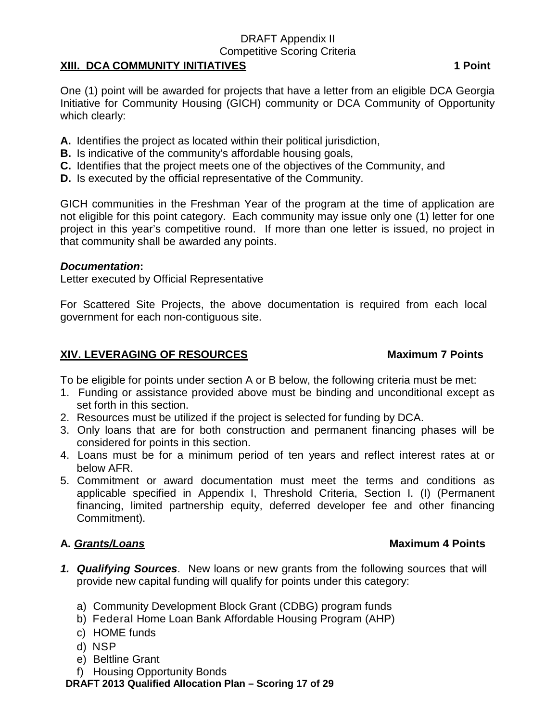#### Competitive Scoring Criteria

### **XIII. DCA COMMUNITY INITIATIVES 1 Point**

One (1) point will be awarded for projects that have a letter from an eligible DCA Georgia Initiative for Community Housing (GICH) community or DCA Community of Opportunity which clearly:

- **A.** Identifies the project as located within their political jurisdiction,
- **B.** Is indicative of the community's affordable housing goals,
- **C.** Identifies that the project meets one of the objectives of the Community, and
- **D.** Is executed by the official representative of the Community.

GICH communities in the Freshman Year of the program at the time of application are not eligible for this point category. Each community may issue only one (1) letter for one project in this year's competitive round. If more than one letter is issued, no project in that community shall be awarded any points.

## *Documentation***:**

Letter executed by Official Representative

For Scattered Site Projects, the above documentation is required from each local government for each non-contiguous site.

## **XIV. LEVERAGING OF RESOURCES Maximum 7 Points**

To be eligible for points under section A or B below, the following criteria must be met:

- 1. Funding or assistance provided above must be binding and unconditional except as set forth in this section.
- 2. Resources must be utilized if the project is selected for funding by DCA.
- 3. Only loans that are for both construction and permanent financing phases will be considered for points in this section.
- 4. Loans must be for a minimum period of ten years and reflect interest rates at or below AFR.
- 5. Commitment or award documentation must meet the terms and conditions as applicable specified in Appendix I, Threshold Criteria, Section I. (I) (Permanent financing, limited partnership equity, deferred developer fee and other financing Commitment).

# **A.** *Grants/Loans* **Maximum 4 Points**

- *1. Qualifying Sources*. New loans or new grants from the following sources that will provide new capital funding will qualify for points under this category:
	- a) Community Development Block Grant (CDBG) program funds
	- b) Federal Home Loan Bank Affordable Housing Program (AHP)
	- c) HOME funds
	- d) NSP
	- e) Beltline Grant
	- f) Housing Opportunity Bonds

**DRAFT 2013 Qualified Allocation Plan – Scoring 17 of 29**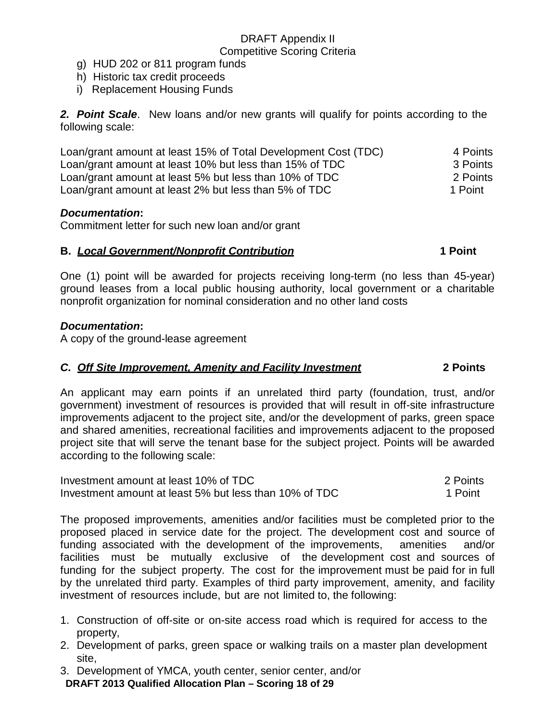- g) HUD 202 or 811 program funds
- h) Historic tax credit proceeds
- i) Replacement Housing Funds

*2. Point Scale*. New loans and/or new grants will qualify for points according to the following scale:

| Loan/grant amount at least 15% of Total Development Cost (TDC) | 4 Points |
|----------------------------------------------------------------|----------|
| Loan/grant amount at least 10% but less than 15% of TDC        | 3 Points |
| Loan/grant amount at least 5% but less than 10% of TDC         | 2 Points |
| Loan/grant amount at least 2% but less than 5% of TDC          | 1 Point  |

#### *Documentation***:**

Commitment letter for such new loan and/or grant

#### **B.** *Local Government/Nonprofit Contribution* **1 Point**

One (1) point will be awarded for projects receiving long-term (no less than 45-year) ground leases from a local public housing authority, local government or a charitable nonprofit organization for nominal consideration and no other land costs

### *Documentation***:**

A copy of the ground-lease agreement

## *C. Off Site Improvement, Amenity and Facility Investment* **2 Points**

An applicant may earn points if an unrelated third party (foundation, trust, and/or government) investment of resources is provided that will result in off-site infrastructure improvements adjacent to the project site, and/or the development of parks, green space and shared amenities, recreational facilities and improvements adjacent to the proposed project site that will serve the tenant base for the subject project. Points will be awarded according to the following scale:

| Investment amount at least 10% of TDC                  | 2 Points |
|--------------------------------------------------------|----------|
| Investment amount at least 5% but less than 10% of TDC | 1 Point  |

The proposed improvements, amenities and/or facilities must be completed prior to the proposed placed in service date for the project. The development cost and source of funding associated with the development of the improvements, amenities and/or facilities must be mutually exclusive of the development cost and sources of funding for the subject property. The cost for the improvement must be paid for in full by the unrelated third party. Examples of third party improvement, amenity, and facility investment of resources include, but are not limited to, the following:

- 1. Construction of off-site or on-site access road which is required for access to the property,
- 2. Development of parks, green space or walking trails on a master plan development site,
- 3. Development of YMCA, youth center, senior center, and/or

**DRAFT 2013 Qualified Allocation Plan – Scoring 18 of 29**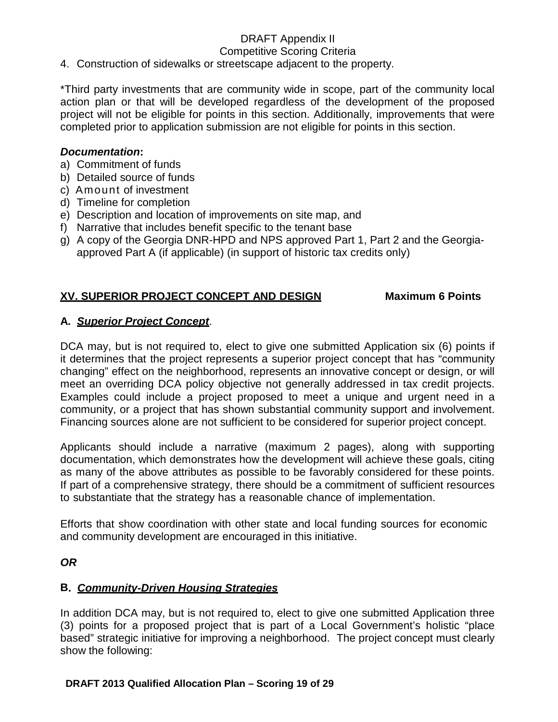#### Competitive Scoring Criteria

4. Construction of sidewalks or streetscape adjacent to the property.

\*Third party investments that are community wide in scope, part of the community local action plan or that will be developed regardless of the development of the proposed project will not be eligible for points in this section. Additionally, improvements that were completed prior to application submission are not eligible for points in this section.

#### *Documentation***:**

- a) Commitment of funds
- b) Detailed source of funds
- c) Amount of investment
- d) Timeline for completion
- e) Description and location of improvements on site map, and
- f) Narrative that includes benefit specific to the tenant base
- g) A copy of the Georgia DNR-HPD and NPS approved Part 1, Part 2 and the Georgiaapproved Part A (if applicable) (in support of historic tax credits only)

## **XV. SUPERIOR PROJECT CONCEPT AND DESIGN Maximum 6 Points**

### **A.** *Superior Project Concept*.

DCA may, but is not required to, elect to give one submitted Application six (6) points if it determines that the project represents a superior project concept that has "community changing" effect on the neighborhood, represents an innovative concept or design, or will meet an overriding DCA policy objective not generally addressed in tax credit projects. Examples could include a project proposed to meet a unique and urgent need in a community, or a project that has shown substantial community support and involvement. Financing sources alone are not sufficient to be considered for superior project concept.

Applicants should include a narrative (maximum 2 pages), along with supporting documentation, which demonstrates how the development will achieve these goals, citing as many of the above attributes as possible to be favorably considered for these points. If part of a comprehensive strategy, there should be a commitment of sufficient resources to substantiate that the strategy has a reasonable chance of implementation.

Efforts that show coordination with other state and local funding sources for economic and community development are encouraged in this initiative.

## *OR*

#### **B.** *Community-Driven Housing Strategies*

In addition DCA may, but is not required to, elect to give one submitted Application three (3) points for a proposed project that is part of a Local Government's holistic "place based" strategic initiative for improving a neighborhood. The project concept must clearly show the following: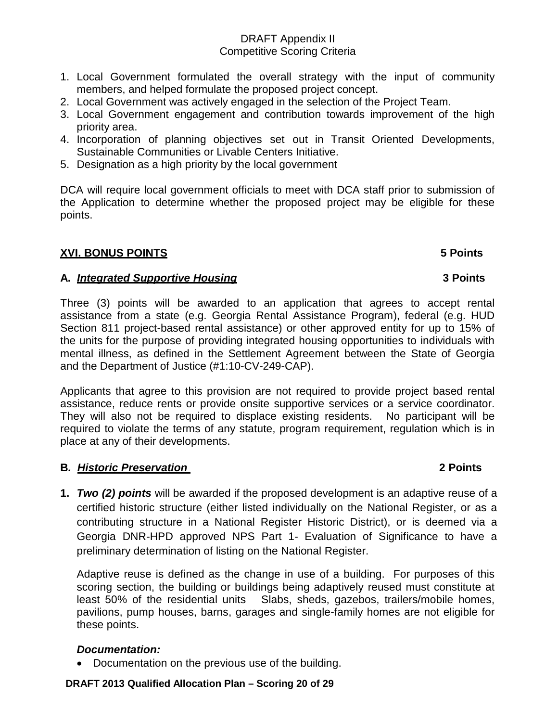- 1. Local Government formulated the overall strategy with the input of community members, and helped formulate the proposed project concept.
- 2. Local Government was actively engaged in the selection of the Project Team.
- 3. Local Government engagement and contribution towards improvement of the high priority area.
- 4. Incorporation of planning objectives set out in Transit Oriented Developments, Sustainable Communities or Livable Centers Initiative.
- 5. Designation as a high priority by the local government

DCA will require local government officials to meet with DCA staff prior to submission of the Application to determine whether the proposed project may be eligible for these points.

## **XVI. BONUS POINTS 5 Points**

### **A.** *Integrated Supportive Housing* **3 Points**

Three (3) points will be awarded to an application that agrees to accept rental assistance from a state (e.g. Georgia Rental Assistance Program), federal (e.g. HUD Section 811 project-based rental assistance) or other approved entity for up to 15% of the units for the purpose of providing integrated housing opportunities to individuals with mental illness, as defined in the Settlement Agreement between the State of Georgia and the Department of Justice (#1:10-CV-249-CAP).

Applicants that agree to this provision are not required to provide project based rental assistance, reduce rents or provide onsite supportive services or a service coordinator. They will also not be required to displace existing residents. No participant will be required to violate the terms of any statute, program requirement, regulation which is in place at any of their developments.

#### **B***. Historic Preservation* **2 Points**

**1.** *Two (2) points* will be awarded if the proposed development is an adaptive reuse of a certified historic structure (either listed individually on the National Register, or as a contributing structure in a National Register Historic District), or is deemed via a Georgia DNR-HPD approved NPS Part 1- Evaluation of Significance to have a preliminary determination of listing on the National Register.

Adaptive reuse is defined as the change in use of a building. For purposes of this scoring section, the building or buildings being adaptively reused must constitute at least 50% of the residential units Slabs, sheds, gazebos, trailers/mobile homes, pavilions, pump houses, barns, garages and single-family homes are not eligible for these points.

#### *Documentation:*

• Documentation on the previous use of the building.

#### **DRAFT 2013 Qualified Allocation Plan – Scoring 20 of 29**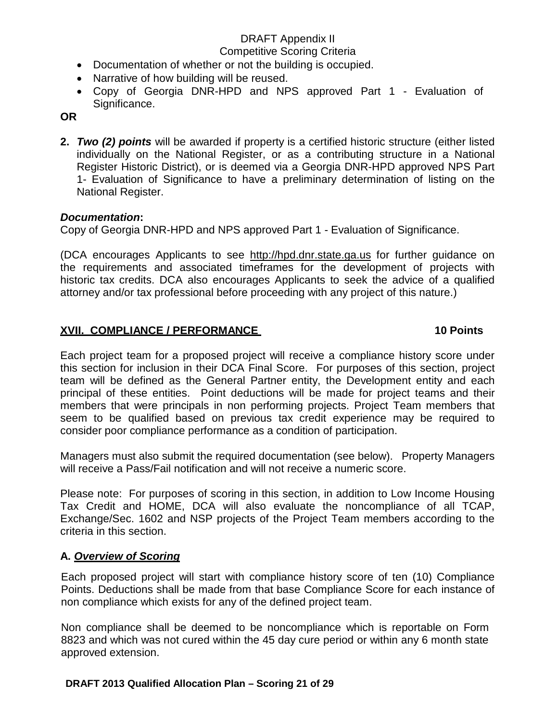#### Competitive Scoring Criteria

- Documentation of whether or not the building is occupied.
- Narrative of how building will be reused.
- Copy of Georgia DNR-HPD and NPS approved Part 1 Evaluation of Significance.

**OR**

**2.** *Two (2) points* will be awarded if property is a certified historic structure (either listed individually on the National Register, or as a contributing structure in a National Register Historic District), or is deemed via a Georgia DNR-HPD approved NPS Part 1- Evaluation of Significance to have a preliminary determination of listing on the National Register.

## *Documentation***:**

Copy of Georgia DNR-HPD and NPS approved Part 1 - Evaluation of Significance.

(DCA encourages Applicants to see [http://hpd.dnr.state.ga.us](http://hpd.dnr.state.ga.us/) for further guidance on the requirements and associated timeframes for the development of projects with historic tax credits. DCA also encourages Applicants to seek the advice of a qualified attorney and/or tax professional before proceeding with any project of this nature.)

## **XVII. COMPLIANCE / PERFORMANCE 10 Points**

Each project team for a proposed project will receive a compliance history score under this section for inclusion in their DCA Final Score. For purposes of this section, project team will be defined as the General Partner entity, the Development entity and each principal of these entities. Point deductions will be made for project teams and their members that were principals in non performing projects. Project Team members that seem to be qualified based on previous tax credit experience may be required to consider poor compliance performance as a condition of participation.

Managers must also submit the required documentation (see below). Property Managers will receive a Pass/Fail notification and will not receive a numeric score.

Please note: For purposes of scoring in this section, in addition to Low Income Housing Tax Credit and HOME, DCA will also evaluate the noncompliance of all TCAP, Exchange/Sec. 1602 and NSP projects of the Project Team members according to the criteria in this section.

## **A.** *Overview of Scoring*

Each proposed project will start with compliance history score of ten (10) Compliance Points. Deductions shall be made from that base Compliance Score for each instance of non compliance which exists for any of the defined project team.

Non compliance shall be deemed to be noncompliance which is reportable on Form 8823 and which was not cured within the 45 day cure period or within any 6 month state approved extension.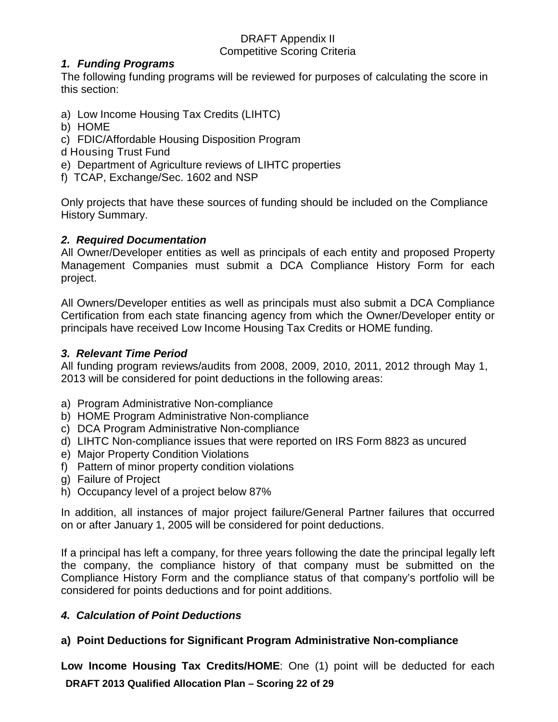## *1. Funding Programs*

The following funding programs will be reviewed for purposes of calculating the score in this section:

- a) Low Income Housing Tax Credits (LIHTC)
- b) HOME
- c) FDIC/Affordable Housing Disposition Program
- d Housing Trust Fund
- e) Department of Agriculture reviews of LIHTC properties
- f) TCAP, Exchange/Sec. 1602 and NSP

Only projects that have these sources of funding should be included on the Compliance History Summary.

## *2. Required Documentation*

All Owner/Developer entities as well as principals of each entity and proposed Property Management Companies must submit a DCA Compliance History Form for each project.

All Owners/Developer entities as well as principals must also submit a DCA Compliance Certification from each state financing agency from which the Owner/Developer entity or principals have received Low Income Housing Tax Credits or HOME funding.

## *3. Relevant Time Period*

All funding program reviews/audits from 2008, 2009, 2010, 2011, 2012 through May 1, 2013 will be considered for point deductions in the following areas:

- a) Program Administrative Non-compliance
- b) HOME Program Administrative Non-compliance
- c) DCA Program Administrative Non-compliance
- d) LIHTC Non-compliance issues that were reported on IRS Form 8823 as uncured
- e) Major Property Condition Violations
- f) Pattern of minor property condition violations
- g) Failure of Project
- h) Occupancy level of a project below 87%

In addition, all instances of major project failure/General Partner failures that occurred on or after January 1, 2005 will be considered for point deductions.

If a principal has left a company, for three years following the date the principal legally left the company, the compliance history of that company must be submitted on the Compliance History Form and the compliance status of that company's portfolio will be considered for points deductions and for point additions.

## *4. Calculation of Point Deductions*

## **a) Point Deductions for Significant Program Administrative Non-compliance**

**DRAFT 2013 Qualified Allocation Plan – Scoring 22 of 29 Low Income Housing Tax Credits/HOME**: One (1) point will be deducted for each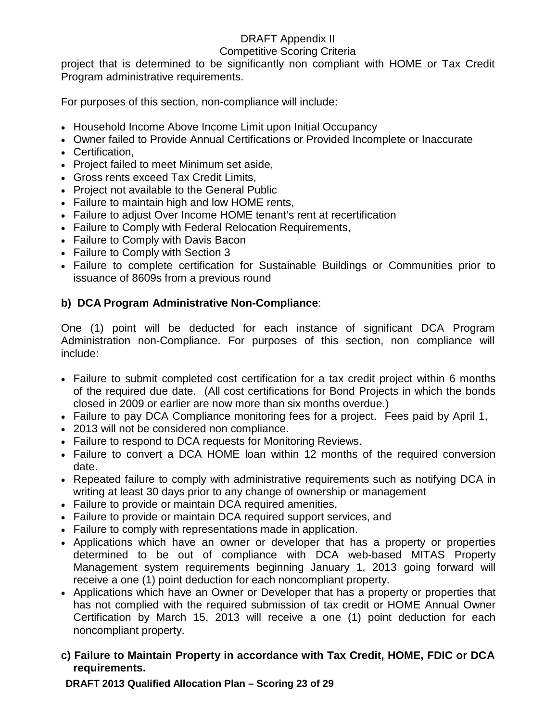### Competitive Scoring Criteria

project that is determined to be significantly non compliant with HOME or Tax Credit Program administrative requirements.

For purposes of this section, non-compliance will include:

- Household Income Above Income Limit upon Initial Occupancy
- Owner failed to Provide Annual Certifications or Provided Incomplete or Inaccurate
- Certification,
- Project failed to meet Minimum set aside,
- Gross rents exceed Tax Credit Limits,
- Project not available to the General Public
- Failure to maintain high and low HOME rents,
- Failure to adjust Over Income HOME tenant's rent at recertification
- Failure to Comply with Federal Relocation Requirements,
- Failure to Comply with Davis Bacon
- Failure to Comply with Section 3
- Failure to complete certification for Sustainable Buildings or Communities prior to issuance of 8609s from a previous round

# **b) DCA Program Administrative Non-Compliance**:

One (1) point will be deducted for each instance of significant DCA Program Administration non-Compliance. For purposes of this section, non compliance will include:

- Failure to submit completed cost certification for a tax credit project within 6 months of the required due date. (All cost certifications for Bond Projects in which the bonds closed in 2009 or earlier are now more than six months overdue.)
- Failure to pay DCA Compliance monitoring fees for a project. Fees paid by April 1,
- 2013 will not be considered non compliance.
- Failure to respond to DCA requests for Monitoring Reviews.
- Failure to convert a DCA HOME loan within 12 months of the required conversion date.
- Repeated failure to comply with administrative requirements such as notifying DCA in writing at least 30 days prior to any change of ownership or management
- Failure to provide or maintain DCA required amenities,
- Failure to provide or maintain DCA required support services, and
- Failure to comply with representations made in application.
- Applications which have an owner or developer that has a property or properties determined to be out of compliance with DCA web-based MITAS Property Management system requirements beginning January 1, 2013 going forward will receive a one (1) point deduction for each noncompliant property.
- Applications which have an Owner or Developer that has a property or properties that has not complied with the required submission of tax credit or HOME Annual Owner Certification by March 15, 2013 will receive a one (1) point deduction for each noncompliant property.
- **c) Failure to Maintain Property in accordance with Tax Credit, HOME, FDIC or DCA requirements.**

**DRAFT 2013 Qualified Allocation Plan – Scoring 23 of 29**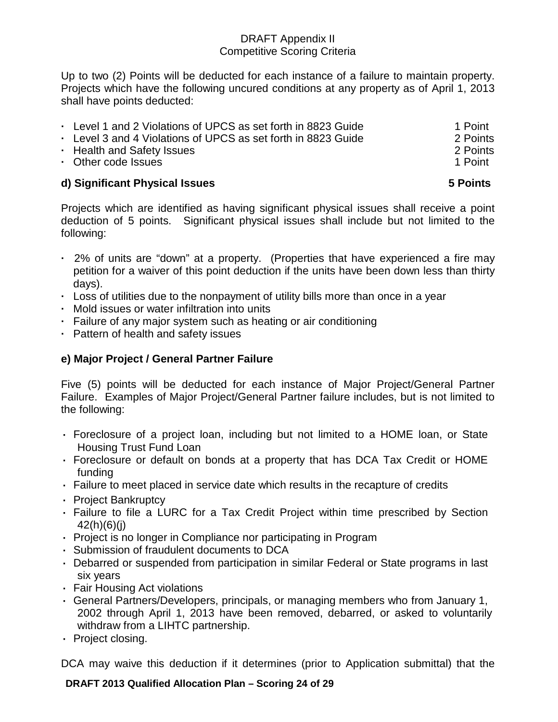Up to two (2) Points will be deducted for each instance of a failure to maintain property. Projects which have the following uncured conditions at any property as of April 1, 2013 shall have points deducted:

| • Level 1 and 2 Violations of UPCS as set forth in 8823 Guide | 1 Point  |
|---------------------------------------------------------------|----------|
| • Level 3 and 4 Violations of UPCS as set forth in 8823 Guide | 2 Points |
| • Health and Safety Issues                                    | 2 Points |
| • Other code Issues                                           | 1 Point  |
|                                                               |          |

## **d) Significant Physical Issues 5 Points**

Projects which are identified as having significant physical issues shall receive a point deduction of 5 points. Significant physical issues shall include but not limited to the following:

- **·** 2% of units are "down" at a property. (Properties that have experienced a fire may petition for a waiver of this point deduction if the units have been down less than thirty days).
- **·** Loss of utilities due to the nonpayment of utility bills more than once in a year
- **·** Mold issues or water infiltration into units
- **·** Failure of any major system such as heating or air conditioning
- **·** Pattern of health and safety issues

# **e) Major Project / General Partner Failure**

Five (5) points will be deducted for each instance of Major Project/General Partner Failure. Examples of Major Project/General Partner failure includes, but is not limited to the following:

- **·** Foreclosure of a project loan, including but not limited to a HOME loan, or State Housing Trust Fund Loan
- **·** Foreclosure or default on bonds at a property that has DCA Tax Credit or HOME funding
- **·** Failure to meet placed in service date which results in the recapture of credits
- **·** Project Bankruptcy
- **·** Failure to file a LURC for a Tax Credit Project within time prescribed by Section 42(h)(6)(j)
- **·** Project is no longer in Compliance nor participating in Program
- **·** Submission of fraudulent documents to DCA
- **·** Debarred or suspended from participation in similar Federal or State programs in last six years
- **·** Fair Housing Act violations
- **·** General Partners/Developers, principals, or managing members who from January 1, 2002 through April 1, 2013 have been removed, debarred, or asked to voluntarily withdraw from a LIHTC partnership.
- **·** Project closing.

DCA may waive this deduction if it determines (prior to Application submittal) that the

**DRAFT 2013 Qualified Allocation Plan – Scoring 24 of 29**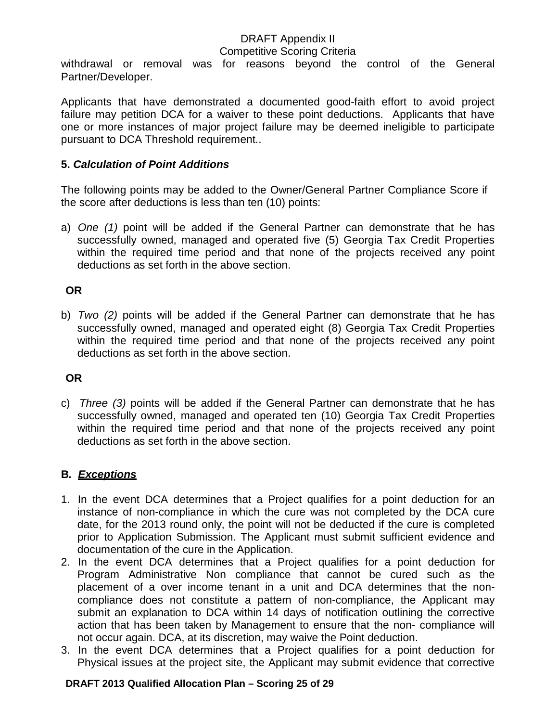#### Competitive Scoring Criteria

withdrawal or removal was for reasons beyond the control of the General Partner/Developer.

Applicants that have demonstrated a documented good-faith effort to avoid project failure may petition DCA for a waiver to these point deductions. Applicants that have one or more instances of major project failure may be deemed ineligible to participate pursuant to DCA Threshold requirement..

### **5.** *Calculation of Point Additions*

The following points may be added to the Owner/General Partner Compliance Score if the score after deductions is less than ten (10) points:

a) *One (1)* point will be added if the General Partner can demonstrate that he has successfully owned, managed and operated five (5) Georgia Tax Credit Properties within the required time period and that none of the projects received any point deductions as set forth in the above section.

## **OR**

b) *Two (2)* points will be added if the General Partner can demonstrate that he has successfully owned, managed and operated eight (8) Georgia Tax Credit Properties within the required time period and that none of the projects received any point deductions as set forth in the above section.

## **OR**

c) *Three (3)* points will be added if the General Partner can demonstrate that he has successfully owned, managed and operated ten (10) Georgia Tax Credit Properties within the required time period and that none of the projects received any point deductions as set forth in the above section.

## **B***. Exceptions*

- 1. In the event DCA determines that a Project qualifies for a point deduction for an instance of non-compliance in which the cure was not completed by the DCA cure date, for the 2013 round only, the point will not be deducted if the cure is completed prior to Application Submission. The Applicant must submit sufficient evidence and documentation of the cure in the Application.
- 2. In the event DCA determines that a Project qualifies for a point deduction for Program Administrative Non compliance that cannot be cured such as the placement of a over income tenant in a unit and DCA determines that the noncompliance does not constitute a pattern of non-compliance, the Applicant may submit an explanation to DCA within 14 days of notification outlining the corrective action that has been taken by Management to ensure that the non- compliance will not occur again. DCA, at its discretion, may waive the Point deduction.
- 3. In the event DCA determines that a Project qualifies for a point deduction for Physical issues at the project site, the Applicant may submit evidence that corrective

#### **DRAFT 2013 Qualified Allocation Plan – Scoring 25 of 29**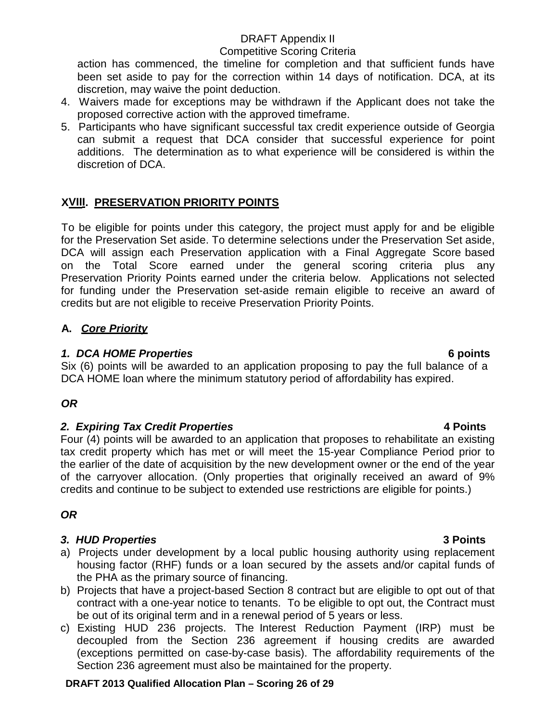#### Competitive Scoring Criteria

action has commenced, the timeline for completion and that sufficient funds have been set aside to pay for the correction within 14 days of notification. DCA, at its discretion, may waive the point deduction.

- 4. Waivers made for exceptions may be withdrawn if the Applicant does not take the proposed corrective action with the approved timeframe.
- 5. Participants who have significant successful tax credit experience outside of Georgia can submit a request that DCA consider that successful experience for point additions. The determination as to what experience will be considered is within the discretion of DCA.

# **XVIII. PRESERVATION PRIORITY POINTS**

To be eligible for points under this category, the project must apply for and be eligible for the Preservation Set aside. To determine selections under the Preservation Set aside, DCA will assign each Preservation application with a Final Aggregate Score based on the Total Score earned under the general scoring criteria plus any Preservation Priority Points earned under the criteria below. Applications not selected for funding under the Preservation set-aside remain eligible to receive an award of credits but are not eligible to receive Preservation Priority Points.

## **A.** *Core Priority*

### *1. DCA HOME Properties* **6 points**

Six (6) points will be awarded to an application proposing to pay the full balance of a DCA HOME loan where the minimum statutory period of affordability has expired.

# *OR*

## *2. Expiring Tax Credit Properties* **4 Points**

Four (4) points will be awarded to an application that proposes to rehabilitate an existing tax credit property which has met or will meet the 15-year Compliance Period prior to the earlier of the date of acquisition by the new development owner or the end of the year of the carryover allocation. (Only properties that originally received an award of 9% credits and continue to be subject to extended use restrictions are eligible for points.)

# *OR*

## *3. HUD Properties* **3 Points**

- a) Projects under development by a local public housing authority using replacement housing factor (RHF) funds or a loan secured by the assets and/or capital funds of the PHA as the primary source of financing.
- b) Projects that have a project-based Section 8 contract but are eligible to opt out of that contract with a one-year notice to tenants. To be eligible to opt out, the Contract must be out of its original term and in a renewal period of 5 years or less.
- c) Existing HUD 236 projects. The Interest Reduction Payment (IRP) must be decoupled from the Section 236 agreement if housing credits are awarded (exceptions permitted on case-by-case basis). The affordability requirements of the Section 236 agreement must also be maintained for the property.

#### **DRAFT 2013 Qualified Allocation Plan – Scoring 26 of 29**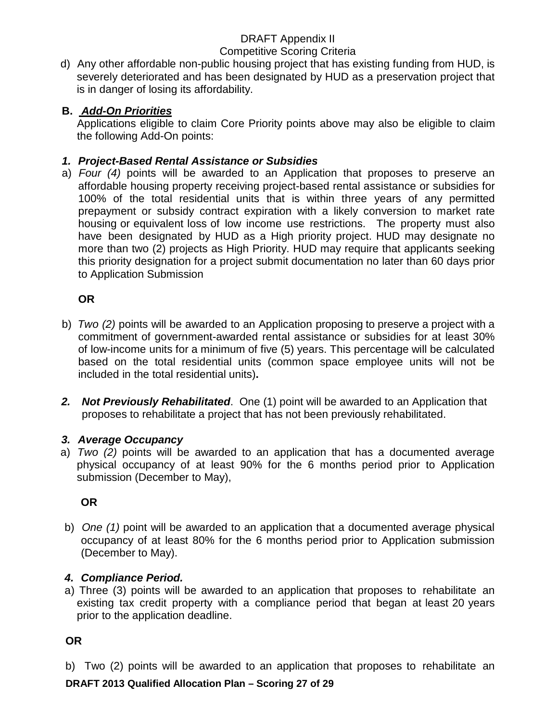## Competitive Scoring Criteria

d) Any other affordable non-public housing project that has existing funding from HUD, is severely deteriorated and has been designated by HUD as a preservation project that is in danger of losing its affordability.

## **B.** *Add-On Priorities*

Applications eligible to claim Core Priority points above may also be eligible to claim the following Add-On points:

## *1. Project-Based Rental Assistance or Subsidies*

a) *Four (4)* points will be awarded to an Application that proposes to preserve an affordable housing property receiving project-based rental assistance or subsidies for 100% of the total residential units that is within three years of any permitted prepayment or subsidy contract expiration with a likely conversion to market rate housing or equivalent loss of low income use restrictions. The property must also have been designated by HUD as a High priority project. HUD may designate no more than two (2) projects as High Priority. HUD may require that applicants seeking this priority designation for a project submit documentation no later than 60 days prior to Application Submission

## **OR**

- b) *Two (2)* points will be awarded to an Application proposing to preserve a project with a commitment of government-awarded rental assistance or subsidies for at least 30% of low-income units for a minimum of five (5) years. This percentage will be calculated based on the total residential units (common space employee units will not be included in the total residential units)**.**
- *2. Not Previously Rehabilitated*. One (1) point will be awarded to an Application that proposes to rehabilitate a project that has not been previously rehabilitated.

## *3. Average Occupancy*

a) *Two (2)* points will be awarded to an application that has a documented average physical occupancy of at least 90% for the 6 months period prior to Application submission (December to May),

## **OR**

b) *One (1)* point will be awarded to an application that a documented average physical occupancy of at least 80% for the 6 months period prior to Application submission (December to May).

## *4. Compliance Period.*

a) Three (3) points will be awarded to an application that proposes to rehabilitate an existing tax credit property with a compliance period that began at least 20 years prior to the application deadline.

## **OR**

b) Two (2) points will be awarded to an application that proposes to rehabilitate an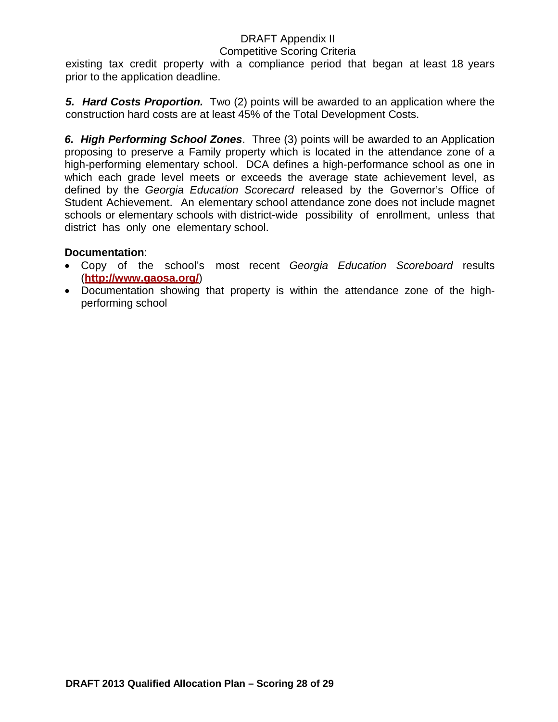#### Competitive Scoring Criteria

existing tax credit property with a compliance period that began at least 18 years prior to the application deadline.

*5. Hard Costs Proportion.* Two (2) points will be awarded to an application where the construction hard costs are at least 45% of the Total Development Costs.

*6. High Performing School Zones*. Three (3) points will be awarded to an Application proposing to preserve a Family property which is located in the attendance zone of a high-performing elementary school. DCA defines a high-performance school as one in which each grade level meets or exceeds the average state achievement level, as defined by the *Georgia Education Scorecard* released by the Governor's Office of Student Achievement. An elementary school attendance zone does not include magnet schools or elementary schools with district-wide possibility of enrollment, unless that district has only one elementary school.

#### **Documentation**:

- Copy of the school's most recent *Georgia Education Scoreboard* results (**<http://www.gaosa.org/>**)
- Documentation showing that property is within the attendance zone of the highperforming school